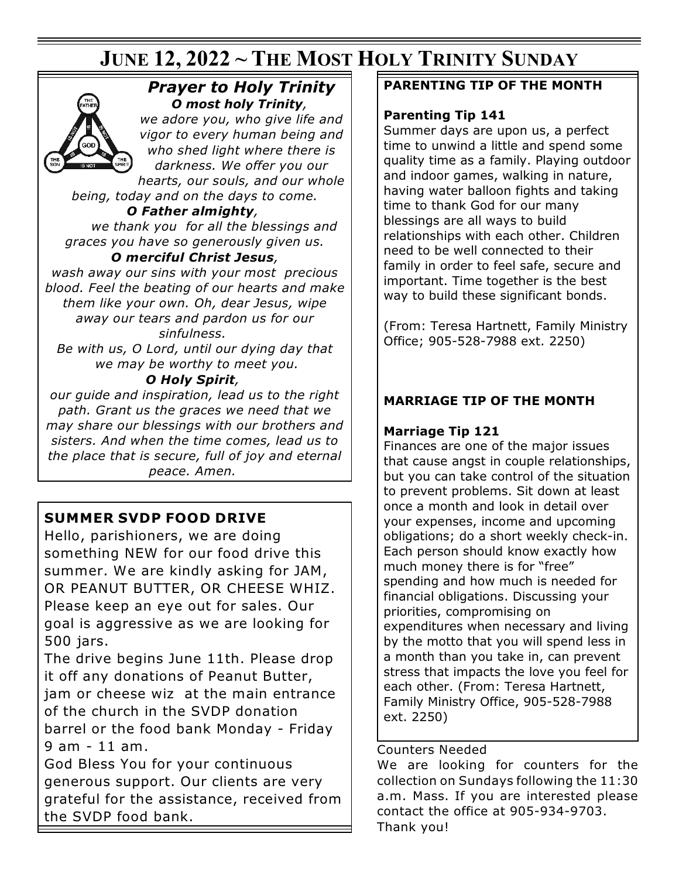# **JUNE 12, 2022 ~ THE MOST HOLY TRINITY SUNDAY**



## *Prayer to Holy Trinity O most holy Trinity,*

*we adore you, who give life and vigor to every human being and who shed light where there is darkness. We offer you our hearts, our souls, and our whole*

*being, today and on the days to come.*

*O Father almighty, we thank you for all the blessings and graces you have so generously given us.*

### *O merciful Christ Jesus,*

*wash away our sins with your most precious blood. Feel the beating of our hearts and make them like your own. Oh, dear Jesus, wipe away our tears and pardon us for our sinfulness.*

*Be with us, O Lord, until our dying day that we may be worthy to meet you.*

### *O Holy Spirit,*

*our guide and inspiration, lead us to the right path. Grant us the graces we need that we may share our blessings with our brothers and sisters. And when the time comes, lead us to the place that is secure, full of joy and eternal peace. Amen.*

# **SUMMER SVDP FOOD DRIVE**

Hello, parishioners, we are doing something NEW for our food drive this summer. We are kindly asking for JAM, OR PEANUT BUTTER, OR CHEESE WHIZ. Please keep an eye out for sales. Our goal is aggressive as we are looking for 500 jars.

The drive begins June 11th. Please drop it off any donations of Peanut Butter, jam or cheese wiz at the main entrance of the church in the SVDP donation barrel or the food bank Monday - Friday 9 am - 11 am.

God Bless You for your continuous generous support. Our clients are very grateful for the assistance, received from the SVDP food bank.

### **PARENTING TIP OF THE MONTH**

### **Parenting Tip 141**

Summer days are upon us, a perfect time to unwind a little and spend some quality time as a family. Playing outdoor and indoor games, walking in nature, having water balloon fights and taking time to thank God for our many blessings are all ways to build relationships with each other. Children need to be well connected to their family in order to feel safe, secure and important. Time together is the best way to build these significant bonds.

(From: Teresa Hartnett, Family Ministry Office; 905-528-7988 ext. 2250)

## **MARRIAGE TIP OF THE MONTH**

### **Marriage Tip 121**

Finances are one of the major issues that cause angst in couple relationships, but you can take control of the situation to prevent problems. Sit down at least once a month and look in detail over your expenses, income and upcoming obligations; do a short weekly check-in. Each person should know exactly how much money there is for "free" spending and how much is needed for financial obligations. Discussing your priorities, compromising on expenditures when necessary and living by the motto that you will spend less in a month than you take in, can prevent stress that impacts the love you feel for each other. (From: Teresa Hartnett, Family Ministry Office, 905-528-7988 ext. 2250)

### Counters Needed

We are looking for counters for the collection on Sundays following the 11:30 a.m. Mass. If you are interested please contact the office at 905-934-9703. Thank you!